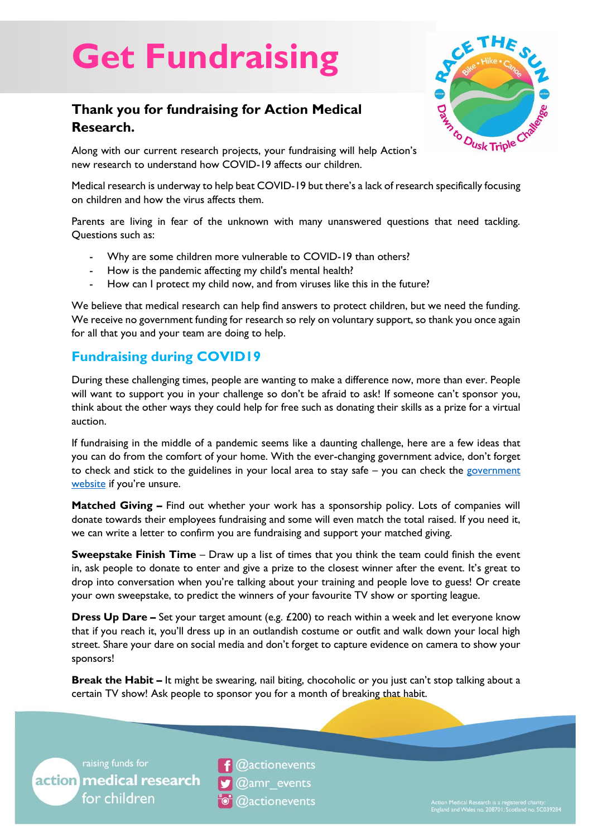# **Get Fundraising**

## **Thank you for fundraising for Action Medical Research.**



Along with our current research projects, your fundraising will help Action's new research to understand how COVID-19 affects our children.

Medical research is underway to help beat COVID-19 but there's a lack of research specifically focusing on children and how the virus affects them.

Parents are living in fear of the unknown with many unanswered questions that need tackling. Questions such as:

- Why are some children more vulnerable to COVID-19 than others?
- How is the pandemic affecting my child's mental health?
- How can I protect my child now, and from viruses like this in the future?

We believe that medical research can help find answers to protect children, but we need the funding. We receive no government funding for research so rely on voluntary support, so thank you once again for all that you and your team are doing to help.

### **Fundraising during COVID19**

During these challenging times, people are wanting to make a difference now, more than ever. People will want to support you in your challenge so don't be afraid to ask! If someone can't sponsor you, think about the other ways they could help for free such as donating their skills as a prize for a virtual auction.

If fundraising in the middle of a pandemic seems like a daunting challenge, here are a few ideas that you can do from the comfort of your home. With the ever-changing government advice, don't forget to check and stick to the guidelines in your local area to stay safe – you can check the government [website](https://www.gov.uk/coronavirus) if you're unsure.

**Matched Giving –** Find out whether your work has a sponsorship policy. Lots of companies will donate towards their employees fundraising and some will even match the total raised. If you need it, we can write a letter to confirm you are fundraising and support your matched giving.

**Sweepstake Finish Time** – Draw up a list of times that you think the team could finish the event in, ask people to donate to enter and give a prize to the closest winner after the event. It's great to drop into conversation when you're talking about your training and people love to guess! Or create your own sweepstake, to predict the winners of your favourite TV show or sporting league.

**Dress Up Dare –** Set your target amount (e.g. £200) to reach within a week and let everyone know that if you reach it, you'll dress up in an outlandish costume or outfit and walk down your local high street. Share your dare on social media and don't forget to capture evidence on camera to show your sponsors!

**Break the Habit –** It might be swearing, nail biting, chocoholic or you just can't stop talking about a certain TV show! Ask people to sponsor you for a month of breaking that habit.



@actionevents @amr events **@actionevents**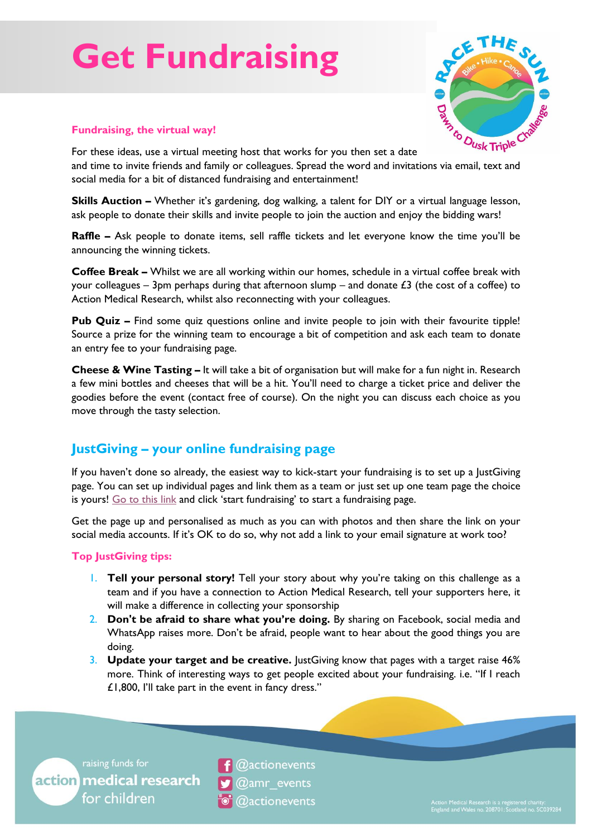## **Get Fundraising**



#### **Fundraising, the virtual way!**

For these ideas, use a virtual meeting host that works for you then set a date Fundraising, the virtual way!<br>For these ideas, use a virtual meeting host that works for you then set a date<br>and time to invite friends and family or colleagues. Spread the word and invitations via email, text and social media for a bit of distanced fundraising and entertainment!

**Skills Auction –** Whether it's gardening, dog walking, a talent for DIY or a virtual language lesson, ask people to donate their skills and invite people to join the auction and enjoy the bidding wars!

**Raffle –** Ask people to donate items, sell raffle tickets and let everyone know the time you'll be announcing the winning tickets.

**Coffee Break –** Whilst we are all working within our homes, schedule in a virtual coffee break with your colleagues – 3pm perhaps during that afternoon slump – and donate  $\pounds 3$  (the cost of a coffee) to Action Medical Research, whilst also reconnecting with your colleagues.

**Pub Quiz –** Find some quiz questions online and invite people to join with their favourite tipple! Source a prize for the winning team to encourage a bit of competition and ask each team to donate an entry fee to your fundraising page.

**Cheese & Wine Tasting –** It will take a bit of organisation but will make for a fun night in. Research a few mini bottles and cheeses that will be a hit. You'll need to charge a ticket price and deliver the goodies before the event (contact free of course). On the night you can discuss each choice as you move through the tasty selection.

### **JustGiving – your online fundraising page**

If you haven't done so already, the easiest way to kick-start your fundraising is to set up a JustGiving page. You can set up individual pages and link them as a team or just set up one team page the choice is yours! [Go to this link](https://www.justgiving.com/campaign/RacetheSunLakes) and click 'start fundraising' to start a fundraising page.

Get the page up and personalised as much as you can with photos and then share the link on your social media accounts. If it's OK to do so, why not add a link to your email signature at work too?

#### **Top JustGiving tips:**

- 1. **Tell your personal story!** Tell your story about why you're taking on this challenge as a team and if you have a connection to Action Medical Research, tell your supporters here, it will make a difference in collecting your sponsorship
- 2. **Don't be afraid to share what you're doing.** By sharing on Facebook, social media and WhatsApp raises more. Don't be afraid, people want to hear about the good things you are doing.
- 3. **Update your target and be creative.** JustGiving know that pages with a target raise 46% more. Think of interesting ways to get people excited about your fundraising. i.e. "If I reach £1,800, I'll take part in the event in fancy dress."

raising funds for action medical research for children

@actionevents  $@amr$  events **@actionevents**